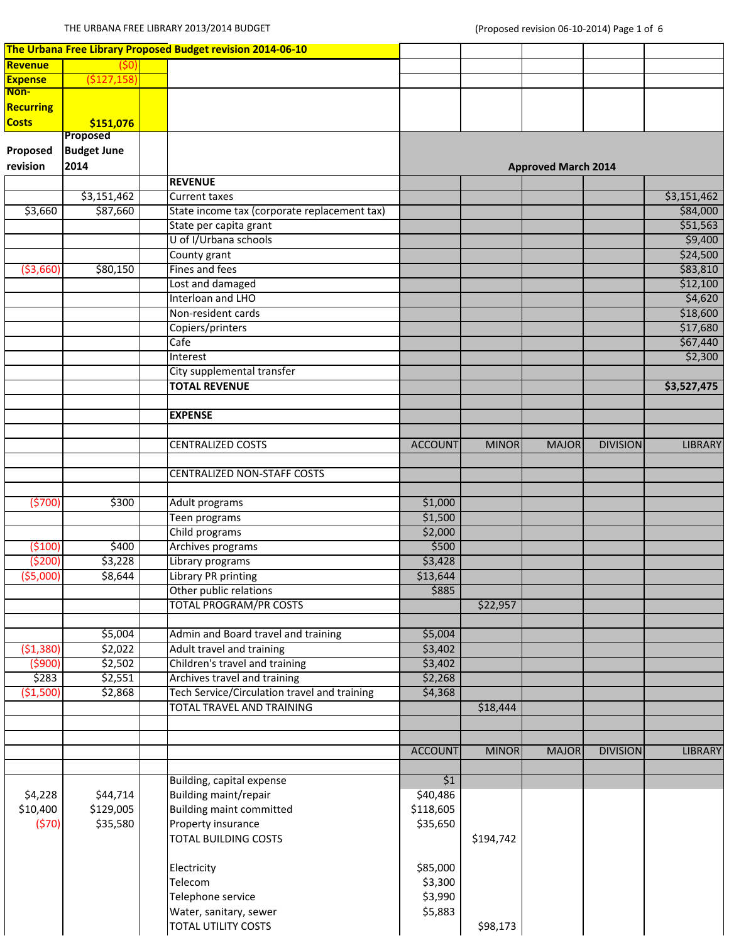|                |                    | The Urbana Free Library Proposed Budget revision 2014-06-10 |                |              |                            |                 |                |
|----------------|--------------------|-------------------------------------------------------------|----------------|--------------|----------------------------|-----------------|----------------|
| Revenue        |                    |                                                             |                |              |                            |                 |                |
| <b>Expense</b> | (\$127,158)        |                                                             |                |              |                            |                 |                |
| Non-           |                    |                                                             |                |              |                            |                 |                |
| Recurring      |                    |                                                             |                |              |                            |                 |                |
| <b>Costs</b>   | \$151,076          |                                                             |                |              |                            |                 |                |
|                | Proposed           |                                                             |                |              |                            |                 |                |
| Proposed       | <b>Budget June</b> |                                                             |                |              |                            |                 |                |
| revision       | 2014               |                                                             |                |              | <b>Approved March 2014</b> |                 |                |
|                |                    | <b>REVENUE</b>                                              |                |              |                            |                 |                |
|                | \$3,151,462        | <b>Current taxes</b>                                        |                |              |                            |                 | \$3,151,462    |
| \$3,660        | \$87,660           | State income tax (corporate replacement tax)                |                |              |                            |                 | \$84,000       |
|                |                    | State per capita grant                                      |                |              |                            |                 | \$51,563       |
|                |                    | U of I/Urbana schools                                       |                |              |                            |                 | \$9,400        |
|                |                    | County grant                                                |                |              |                            |                 | \$24,500       |
| (53,660)       | \$80,150           | Fines and fees                                              |                |              |                            |                 | \$83,810       |
|                |                    | Lost and damaged                                            |                |              |                            |                 | \$12,100       |
|                |                    | Interloan and LHO                                           |                |              |                            |                 | \$4,620        |
|                |                    | Non-resident cards                                          |                |              |                            |                 | \$18,600       |
|                |                    | Copiers/printers                                            |                |              |                            |                 | \$17,680       |
|                |                    | Cafe                                                        |                |              |                            |                 | \$67,440       |
|                |                    | Interest                                                    |                |              |                            |                 | \$2,300        |
|                |                    | City supplemental transfer                                  |                |              |                            |                 |                |
|                |                    | <b>TOTAL REVENUE</b>                                        |                |              |                            |                 | \$3,527,475    |
|                |                    | <b>EXPENSE</b>                                              |                |              |                            |                 |                |
|                |                    |                                                             |                |              |                            |                 |                |
|                |                    | <b>CENTRALIZED COSTS</b>                                    | <b>ACCOUNT</b> | <b>MINOR</b> | <b>MAJOR</b>               | <b>DIVISION</b> | <b>LIBRARY</b> |
|                |                    | <b>CENTRALIZED NON-STAFF COSTS</b>                          |                |              |                            |                 |                |
|                |                    |                                                             |                |              |                            |                 |                |
| (5700)         | \$300              | Adult programs                                              | \$1,000        |              |                            |                 |                |
|                |                    | Teen programs                                               | \$1,500        |              |                            |                 |                |
|                |                    | Child programs                                              | \$2,000        |              |                            |                 |                |
| (5100)         | \$400              | Archives programs                                           | \$500          |              |                            |                 |                |
| (5200)         | \$3,228            | Library programs                                            | \$3,428        |              |                            |                 |                |
| ( \$5,000)     | \$8,644            | Library PR printing                                         | \$13,644       |              |                            |                 |                |
|                |                    | Other public relations                                      | \$885          |              |                            |                 |                |
|                |                    | <b>TOTAL PROGRAM/PR COSTS</b>                               |                | \$22,957     |                            |                 |                |
|                | \$5,004            | Admin and Board travel and training                         | \$5,004        |              |                            |                 |                |
| ( \$1,380)     | \$2,022            | <b>Adult travel and training</b>                            | \$3,402        |              |                            |                 |                |
| (5900)         | \$2,502            | Children's travel and training                              | \$3,402        |              |                            |                 |                |
| \$283          | \$2,551            | Archives travel and training                                | \$2,268        |              |                            |                 |                |
| ( \$1,500)     | \$2,868            | Tech Service/Circulation travel and training                | \$4,368        |              |                            |                 |                |
|                |                    | <b>TOTAL TRAVEL AND TRAINING</b>                            |                | \$18,444     |                            |                 |                |
|                |                    |                                                             |                |              |                            |                 |                |
|                |                    |                                                             | <b>ACCOUNT</b> | <b>MINOR</b> | <b>MAJOR</b>               | <b>DIVISION</b> | <b>LIBRARY</b> |
|                |                    |                                                             |                |              |                            |                 |                |
|                |                    | Building, capital expense                                   | \$1            |              |                            |                 |                |
| \$4,228        | \$44,714           | Building maint/repair                                       | \$40,486       |              |                            |                 |                |
| \$10,400       | \$129,005          | <b>Building maint committed</b>                             | \$118,605      |              |                            |                 |                |
| (570)          | \$35,580           | Property insurance                                          | \$35,650       |              |                            |                 |                |
|                |                    | <b>TOTAL BUILDING COSTS</b>                                 |                | \$194,742    |                            |                 |                |
|                |                    | Electricity                                                 | \$85,000       |              |                            |                 |                |
|                |                    | Telecom                                                     | \$3,300        |              |                            |                 |                |
|                |                    | Telephone service                                           | \$3,990        |              |                            |                 |                |
|                |                    | Water, sanitary, sewer                                      | \$5,883        |              |                            |                 |                |
|                |                    | TOTAL UTILITY COSTS                                         |                | \$98,173     |                            |                 |                |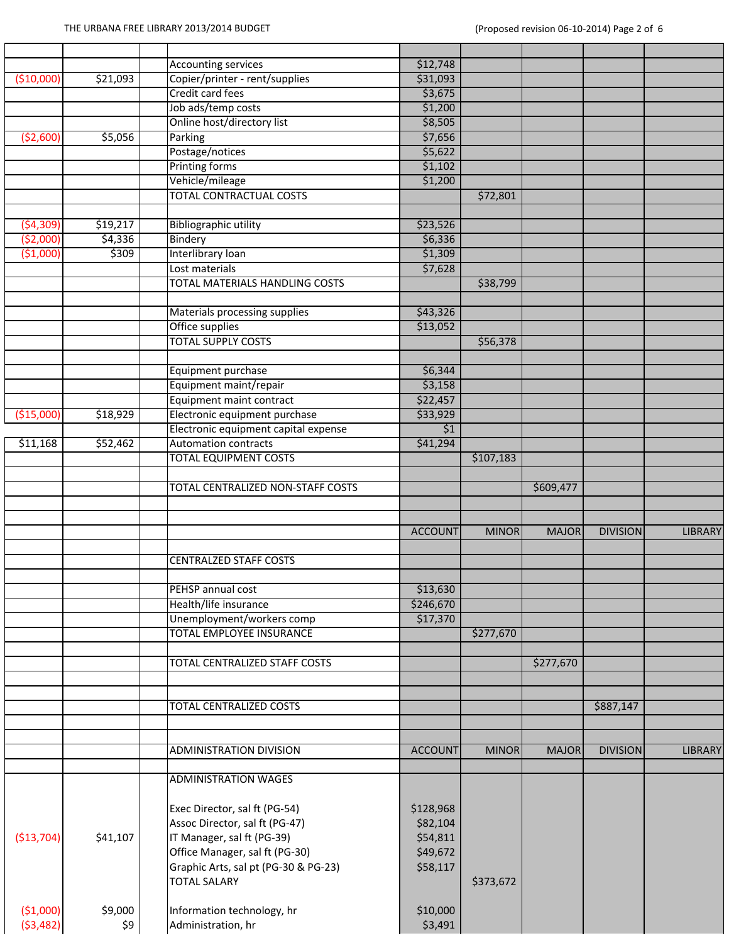г

|             |          | <b>Accounting services</b>           | \$12,748         |              |              |                 |                |
|-------------|----------|--------------------------------------|------------------|--------------|--------------|-----------------|----------------|
| (\$10,000]  | \$21,093 | Copier/printer - rent/supplies       | \$31,093         |              |              |                 |                |
|             |          | Credit card fees                     | \$3,675          |              |              |                 |                |
|             |          | Job ads/temp costs                   | \$1,200          |              |              |                 |                |
|             |          | Online host/directory list           | \$8,505          |              |              |                 |                |
| (52,600)    | \$5,056  | Parking                              | \$7,656          |              |              |                 |                |
|             |          | Postage/notices                      | \$5,622          |              |              |                 |                |
|             |          | <b>Printing forms</b>                | \$1,102          |              |              |                 |                |
|             |          | Vehicle/mileage                      | \$1,200          |              |              |                 |                |
|             |          | <b>TOTAL CONTRACTUAL COSTS</b>       |                  | \$72,801     |              |                 |                |
|             |          |                                      |                  |              |              |                 |                |
| (54, 309)   | \$19,217 | <b>Bibliographic utility</b>         | \$23,526         |              |              |                 |                |
| ( \$2,000)  | \$4,336  | Bindery                              | \$6,336          |              |              |                 |                |
| ( \$1,000)  | \$309    | Interlibrary loan                    | \$1,309          |              |              |                 |                |
|             |          | Lost materials                       | \$7,628          |              |              |                 |                |
|             |          | TOTAL MATERIALS HANDLING COSTS       |                  | \$38,799     |              |                 |                |
|             |          |                                      |                  |              |              |                 |                |
|             |          | Materials processing supplies        | \$43,326         |              |              |                 |                |
|             |          | Office supplies                      | \$13,052         |              |              |                 |                |
|             |          | <b>TOTAL SUPPLY COSTS</b>            |                  | \$56,378     |              |                 |                |
|             |          |                                      |                  |              |              |                 |                |
|             |          | Equipment purchase                   | \$6,344          |              |              |                 |                |
|             |          | Equipment maint/repair               | \$3,158          |              |              |                 |                |
|             |          | Equipment maint contract             | \$22,457         |              |              |                 |                |
| ( \$15,000) | \$18,929 | Electronic equipment purchase        | \$33,929         |              |              |                 |                |
|             |          | Electronic equipment capital expense | $\overline{\$1}$ |              |              |                 |                |
| \$11,168    | 552,462  | <b>Automation contracts</b>          | \$41,294         |              |              |                 |                |
|             |          | <b>TOTAL EQUIPMENT COSTS</b>         |                  | \$107,183    |              |                 |                |
|             |          |                                      |                  |              |              |                 |                |
|             |          | TOTAL CENTRALIZED NON-STAFF COSTS    |                  |              | \$609,477    |                 |                |
|             |          |                                      |                  |              |              |                 |                |
|             |          |                                      |                  |              |              |                 |                |
|             |          |                                      | <b>ACCOUNT</b>   | <b>MINOR</b> | <b>MAJOR</b> | <b>DIVISION</b> | <b>LIBRARY</b> |
|             |          |                                      |                  |              |              |                 |                |
|             |          | <b>CENTRALZED STAFF COSTS</b>        |                  |              |              |                 |                |
|             |          |                                      |                  |              |              |                 |                |
|             |          | PEHSP annual cost                    | \$13,630         |              |              |                 |                |
|             |          | Health/life insurance                | \$246,670        |              |              |                 |                |
|             |          | Unemployment/workers comp            | \$17,370         |              |              |                 |                |
|             |          | TOTAL EMPLOYEE INSURANCE             |                  | \$277,670    |              |                 |                |
|             |          |                                      |                  |              |              |                 |                |
|             |          | <b>TOTAL CENTRALIZED STAFF COSTS</b> |                  |              | \$277,670    |                 |                |
|             |          |                                      |                  |              |              |                 |                |
|             |          |                                      |                  |              |              |                 |                |
|             |          | TOTAL CENTRALIZED COSTS              |                  |              |              | \$887,147       |                |
|             |          |                                      |                  |              |              |                 |                |
|             |          |                                      |                  |              |              |                 |                |
|             |          | <b>ADMINISTRATION DIVISION</b>       | <b>ACCOUNT</b>   | <b>MINOR</b> | <b>MAJOR</b> | <b>DIVISION</b> | <b>LIBRARY</b> |
|             |          |                                      |                  |              |              |                 |                |
|             |          | <b>ADMINISTRATION WAGES</b>          |                  |              |              |                 |                |
|             |          |                                      |                  |              |              |                 |                |
|             |          |                                      |                  |              |              |                 |                |
|             |          | Exec Director, sal ft (PG-54)        | \$128,968        |              |              |                 |                |
|             |          | Assoc Director, sal ft (PG-47)       | \$82,104         |              |              |                 |                |
| (\$13,704)  | \$41,107 | IT Manager, sal ft (PG-39)           | \$54,811         |              |              |                 |                |
|             |          | Office Manager, sal ft (PG-30)       | \$49,672         |              |              |                 |                |
|             |          | Graphic Arts, sal pt (PG-30 & PG-23) | \$58,117         |              |              |                 |                |
|             |          | <b>TOTAL SALARY</b>                  |                  | \$373,672    |              |                 |                |
|             |          |                                      |                  |              |              |                 |                |
| ( \$1,000)  | \$9,000  | Information technology, hr           | \$10,000         |              |              |                 |                |
| ( \$3,482)  | \$9      | Administration, hr                   | \$3,491          |              |              |                 |                |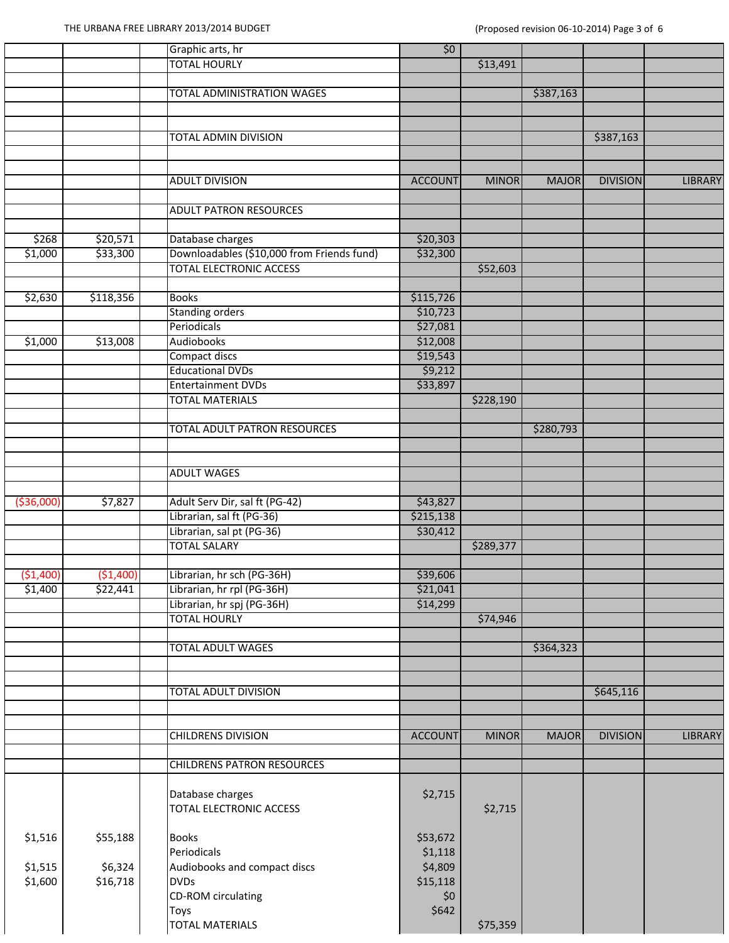|             |            | Graphic arts, hr                                         | \$0                  |              |              |                 |                |
|-------------|------------|----------------------------------------------------------|----------------------|--------------|--------------|-----------------|----------------|
|             |            | <b>TOTAL HOURLY</b>                                      |                      | \$13,491     |              |                 |                |
|             |            |                                                          |                      |              |              |                 |                |
|             |            | <b>TOTAL ADMINISTRATION WAGES</b>                        |                      |              | \$387,163    |                 |                |
|             |            |                                                          |                      |              |              |                 |                |
|             |            |                                                          |                      |              |              |                 |                |
|             |            | <b>TOTAL ADMIN DIVISION</b>                              |                      |              |              | \$387,163       |                |
|             |            |                                                          |                      |              |              |                 |                |
|             |            |                                                          |                      |              |              |                 |                |
|             |            | ADULT DIVISION                                           | <b>ACCOUNT</b>       | <b>MINOR</b> | <b>MAJOR</b> | <b>DIVISION</b> | LIBRARY        |
|             |            |                                                          |                      |              |              |                 |                |
|             |            | <b>ADULT PATRON RESOURCES</b>                            |                      |              |              |                 |                |
| \$268       | \$20,571   | Database charges                                         | \$20,303             |              |              |                 |                |
| \$1,000     | \$33,300   | Downloadables (\$10,000 from Friends fund)               | \$32,300             |              |              |                 |                |
|             |            | <b>TOTAL ELECTRONIC ACCESS</b>                           |                      | \$52,603     |              |                 |                |
|             |            |                                                          |                      |              |              |                 |                |
| \$2,630     | \$118,356  | <b>Books</b>                                             | \$115,726            |              |              |                 |                |
|             |            | <b>Standing orders</b>                                   | \$10,723             |              |              |                 |                |
|             |            | Periodicals                                              | \$27,081             |              |              |                 |                |
| \$1,000     | \$13,008   | <b>Audiobooks</b>                                        | \$12,008             |              |              |                 |                |
|             |            | Compact discs                                            | \$19,543             |              |              |                 |                |
|             |            | <b>Educational DVDs</b>                                  | \$9,212              |              |              |                 |                |
|             |            | <b>Entertainment DVDs</b>                                | \$33,897             |              |              |                 |                |
|             |            | <b>TOTAL MATERIALS</b>                                   |                      | \$228,190    |              |                 |                |
|             |            |                                                          |                      |              |              |                 |                |
|             |            | <b>TOTAL ADULT PATRON RESOURCES</b>                      |                      |              | \$280,793    |                 |                |
|             |            |                                                          |                      |              |              |                 |                |
|             |            |                                                          |                      |              |              |                 |                |
|             |            | <b>ADULT WAGES</b>                                       |                      |              |              |                 |                |
|             |            |                                                          |                      |              |              |                 |                |
| ( \$36,000] | \$7,827    | Adult Serv Dir, sal ft (PG-42)                           | \$43,827             |              |              |                 |                |
|             |            | Librarian, sal ft (PG-36)                                | \$215,138            |              |              |                 |                |
|             |            | Librarian, sal pt (PG-36)                                | \$30,412             |              |              |                 |                |
|             |            | <b>TOTAL SALARY</b>                                      |                      | \$289,377    |              |                 |                |
|             |            |                                                          |                      |              |              |                 |                |
| ( \$1,400)  | ( \$1,400) | Librarian, hr sch (PG-36H)                               | \$39,606             |              |              |                 |                |
| \$1,400     | \$22,441   | Librarian, hr rpl (PG-36H)<br>Librarian, hr spj (PG-36H) | \$21,041<br>\$14,299 |              |              |                 |                |
|             |            | <b>TOTAL HOURLY</b>                                      |                      | \$74,946     |              |                 |                |
|             |            |                                                          |                      |              |              |                 |                |
|             |            | <b>TOTAL ADULT WAGES</b>                                 |                      |              | \$364,323    |                 |                |
|             |            |                                                          |                      |              |              |                 |                |
|             |            |                                                          |                      |              |              |                 |                |
|             |            | <b>TOTAL ADULT DIVISION</b>                              |                      |              |              | \$645,116       |                |
|             |            |                                                          |                      |              |              |                 |                |
|             |            |                                                          |                      |              |              |                 |                |
|             |            | <b>CHILDRENS DIVISION</b>                                | <b>ACCOUNT</b>       | <b>MINOR</b> | <b>MAJOR</b> | <b>DIVISION</b> | <b>LIBRARY</b> |
|             |            |                                                          |                      |              |              |                 |                |
|             |            | <b>CHILDRENS PATRON RESOURCES</b>                        |                      |              |              |                 |                |
|             |            |                                                          |                      |              |              |                 |                |
|             |            | Database charges                                         | \$2,715              |              |              |                 |                |
|             |            | <b>TOTAL ELECTRONIC ACCESS</b>                           |                      | \$2,715      |              |                 |                |
|             |            |                                                          |                      |              |              |                 |                |
| \$1,516     | \$55,188   | <b>Books</b>                                             | \$53,672             |              |              |                 |                |
|             |            | Periodicals                                              | \$1,118              |              |              |                 |                |
| \$1,515     | \$6,324    | Audiobooks and compact discs                             | \$4,809              |              |              |                 |                |
| \$1,600     | \$16,718   | <b>DVDs</b>                                              | \$15,118             |              |              |                 |                |
|             |            | <b>CD-ROM</b> circulating                                | \$0                  |              |              |                 |                |
|             |            | <b>Toys</b>                                              | \$642                |              |              |                 |                |
|             |            |                                                          |                      |              |              |                 |                |
|             |            | <b>TOTAL MATERIALS</b>                                   |                      | \$75,359     |              |                 |                |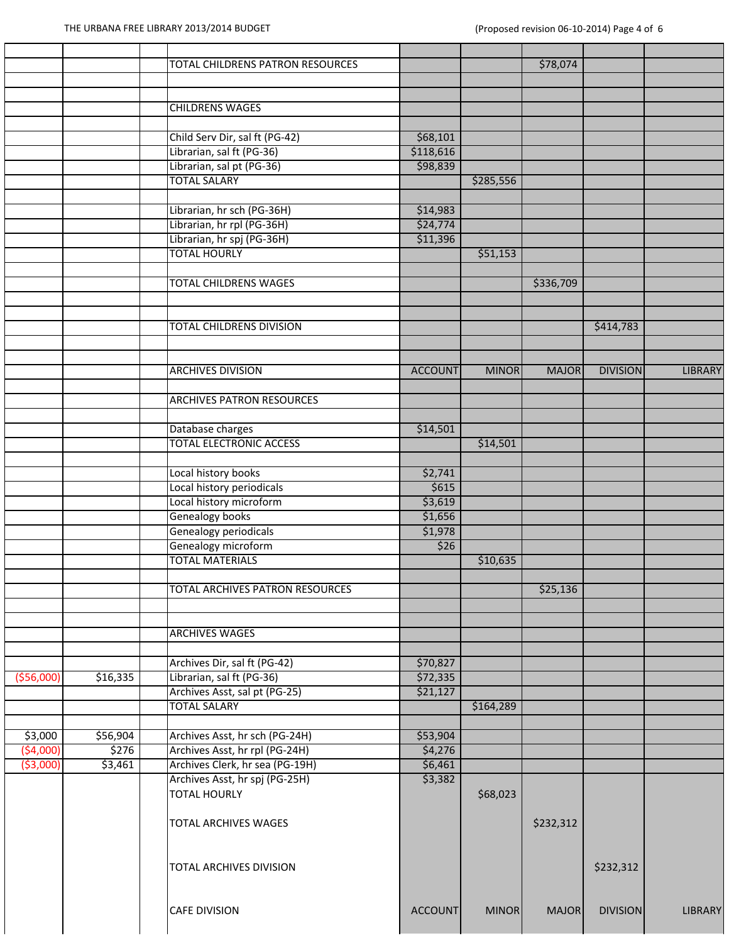|             |          | TOTAL CHILDRENS PATRON RESOURCES |                |              | \$78,074     |                 |                |
|-------------|----------|----------------------------------|----------------|--------------|--------------|-----------------|----------------|
|             |          |                                  |                |              |              |                 |                |
|             |          |                                  |                |              |              |                 |                |
|             |          | <b>CHILDRENS WAGES</b>           |                |              |              |                 |                |
|             |          |                                  |                |              |              |                 |                |
|             |          | Child Serv Dir, sal ft (PG-42)   | \$68,101       |              |              |                 |                |
|             |          | Librarian, sal ft (PG-36)        | \$118,616      |              |              |                 |                |
|             |          | Librarian, sal pt (PG-36)        | \$98,839       |              |              |                 |                |
|             |          | <b>TOTAL SALARY</b>              |                | \$285,556    |              |                 |                |
|             |          |                                  |                |              |              |                 |                |
|             |          | Librarian, hr sch (PG-36H)       | \$14,983       |              |              |                 |                |
|             |          | Librarian, hr rpl (PG-36H)       | \$24,774       |              |              |                 |                |
|             |          | Librarian, hr spj (PG-36H)       | \$11,396       |              |              |                 |                |
|             |          | <b>TOTAL HOURLY</b>              |                | \$51,153     |              |                 |                |
|             |          |                                  |                |              |              |                 |                |
|             |          | <b>TOTAL CHILDRENS WAGES</b>     |                |              | \$336,709    |                 |                |
|             |          |                                  |                |              |              |                 |                |
|             |          |                                  |                |              |              |                 |                |
|             |          | TOTAL CHILDRENS DIVISION         |                |              |              | \$414,783       |                |
|             |          |                                  |                |              |              |                 |                |
|             |          |                                  |                |              |              |                 |                |
|             |          | <b>ARCHIVES DIVISION</b>         | <b>ACCOUNT</b> | <b>MINOR</b> | <b>MAJOR</b> | <b>DIVISION</b> | <b>LIBRARY</b> |
|             |          |                                  |                |              |              |                 |                |
|             |          | <b>ARCHIVES PATRON RESOURCES</b> |                |              |              |                 |                |
|             |          |                                  |                |              |              |                 |                |
|             |          | Database charges                 | \$14,501       |              |              |                 |                |
|             |          | <b>TOTAL ELECTRONIC ACCESS</b>   |                | \$14,501     |              |                 |                |
|             |          |                                  |                |              |              |                 |                |
|             |          | Local history books              | \$2,741        |              |              |                 |                |
|             |          | Local history periodicals        | \$615          |              |              |                 |                |
|             |          | Local history microform          | \$3,619        |              |              |                 |                |
|             |          | <b>Genealogy books</b>           | \$1,656        |              |              |                 |                |
|             |          | Genealogy periodicals            | \$1,978        |              |              |                 |                |
|             |          | Genealogy microform              | \$26           |              |              |                 |                |
|             |          | <b>TOTAL MATERIALS</b>           |                | \$10,635     |              |                 |                |
|             |          |                                  |                |              |              |                 |                |
|             |          | TOTAL ARCHIVES PATRON RESOURCES  |                |              | \$25,136     |                 |                |
|             |          |                                  |                |              |              |                 |                |
|             |          |                                  |                |              |              |                 |                |
|             |          | <b>ARCHIVES WAGES</b>            |                |              |              |                 |                |
|             |          |                                  |                |              |              |                 |                |
|             |          | Archives Dir, sal ft (PG-42)     | \$70,827       |              |              |                 |                |
| ( \$56,000] | \$16,335 | Librarian, sal ft (PG-36)        | \$72,335       |              |              |                 |                |
|             |          | Archives Asst, sal pt (PG-25)    | \$21,127       |              |              |                 |                |
|             |          | <b>TOTAL SALARY</b>              |                | \$164,289    |              |                 |                |
|             |          |                                  |                |              |              |                 |                |
| \$3,000     | \$56,904 | Archives Asst, hr sch (PG-24H)   | \$53,904       |              |              |                 |                |
| (54,000)    | \$276    | Archives Asst, hr rpl (PG-24H)   | \$4,276        |              |              |                 |                |
| ( \$3,000)  | \$3,461  | Archives Clerk, hr sea (PG-19H)  | \$6,461        |              |              |                 |                |
|             |          | Archives Asst, hr spj (PG-25H)   | \$3,382        |              |              |                 |                |
|             |          | <b>TOTAL HOURLY</b>              |                | \$68,023     |              |                 |                |
|             |          |                                  |                |              |              |                 |                |
|             |          | <b>TOTAL ARCHIVES WAGES</b>      |                |              | \$232,312    |                 |                |
|             |          |                                  |                |              |              |                 |                |
|             |          |                                  |                |              |              |                 |                |
|             |          | <b>TOTAL ARCHIVES DIVISION</b>   |                |              |              | \$232,312       |                |
|             |          |                                  |                |              |              |                 |                |
|             |          |                                  |                |              |              |                 |                |
|             |          | <b>CAFE DIVISION</b>             | <b>ACCOUNT</b> | <b>MINOR</b> | <b>MAJOR</b> | <b>DIVISION</b> | <b>LIBRARY</b> |
|             |          |                                  |                |              |              |                 |                |
|             |          |                                  |                |              |              |                 |                |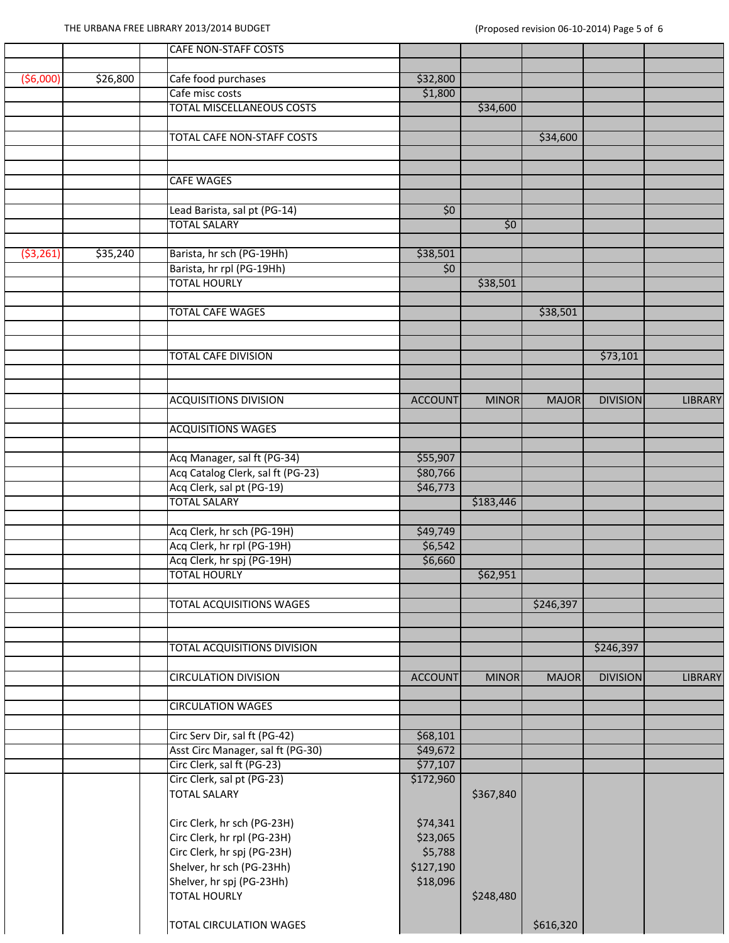|           |          | <b>CAFE NON-STAFF COSTS</b>                                    |                      |              |              |                 |                |
|-----------|----------|----------------------------------------------------------------|----------------------|--------------|--------------|-----------------|----------------|
|           |          |                                                                |                      |              |              |                 |                |
| (56,000)  | \$26,800 | Cafe food purchases                                            | \$32,800             |              |              |                 |                |
|           |          | Cafe misc costs<br>TOTAL MISCELLANEOUS COSTS                   | \$1,800              |              |              |                 |                |
|           |          |                                                                |                      | \$34,600     |              |                 |                |
|           |          | TOTAL CAFE NON-STAFF COSTS                                     |                      |              | \$34,600     |                 |                |
|           |          |                                                                |                      |              |              |                 |                |
|           |          |                                                                |                      |              |              |                 |                |
|           |          | <b>CAFE WAGES</b>                                              |                      |              |              |                 |                |
|           |          |                                                                |                      |              |              |                 |                |
|           |          | Lead Barista, sal pt (PG-14)                                   | \$0                  |              |              |                 |                |
|           |          | <b>TOTAL SALARY</b>                                            |                      | \$0          |              |                 |                |
|           |          |                                                                |                      |              |              |                 |                |
| (53, 261) | \$35,240 | Barista, hr sch (PG-19Hh)                                      | \$38,501             |              |              |                 |                |
|           |          | Barista, hr rpl (PG-19Hh)                                      | \$0                  |              |              |                 |                |
|           |          | <b>TOTAL HOURLY</b>                                            |                      | \$38,501     |              |                 |                |
|           |          |                                                                |                      |              |              |                 |                |
|           |          | <b>TOTAL CAFE WAGES</b>                                        |                      |              | \$38,501     |                 |                |
|           |          |                                                                |                      |              |              |                 |                |
|           |          | <b>TOTAL CAFE DIVISION</b>                                     |                      |              |              | \$73,101        |                |
|           |          |                                                                |                      |              |              |                 |                |
|           |          |                                                                |                      |              |              |                 |                |
|           |          | <b>ACQUISITIONS DIVISION</b>                                   | <b>ACCOUNT</b>       | <b>MINOR</b> | <b>MAJOR</b> | <b>DIVISION</b> | <b>LIBRARY</b> |
|           |          |                                                                |                      |              |              |                 |                |
|           |          | <b>ACQUISITIONS WAGES</b>                                      |                      |              |              |                 |                |
|           |          |                                                                |                      |              |              |                 |                |
|           |          | Acq Manager, sal ft (PG-34)                                    | \$55,907             |              |              |                 |                |
|           |          | Acq Catalog Clerk, sal ft (PG-23)<br>Acq Clerk, sal pt (PG-19) | \$80,766<br>\$46,773 |              |              |                 |                |
|           |          | <b>TOTAL SALARY</b>                                            |                      | \$183,446    |              |                 |                |
|           |          |                                                                |                      |              |              |                 |                |
|           |          | Acq Clerk, hr sch (PG-19H)                                     | \$49,749             |              |              |                 |                |
|           |          | Acq Clerk, hr rpl (PG-19H)                                     | \$6,542              |              |              |                 |                |
|           |          | Acq Clerk, hr spj (PG-19H)                                     | \$6,660              |              |              |                 |                |
|           |          | <b>TOTAL HOURLY</b>                                            |                      | \$62,951     |              |                 |                |
|           |          |                                                                |                      |              |              |                 |                |
|           |          | <b>TOTAL ACQUISITIONS WAGES</b>                                |                      |              | \$246,397    |                 |                |
|           |          |                                                                |                      |              |              |                 |                |
|           |          |                                                                |                      |              |              |                 |                |
|           |          | <b>TOTAL ACQUISITIONS DIVISION</b>                             |                      |              |              | \$246,397       |                |
|           |          | <b>CIRCULATION DIVISION</b>                                    | <b>ACCOUNT</b>       | <b>MINOR</b> | <b>MAJOR</b> | <b>DIVISION</b> | <b>LIBRARY</b> |
|           |          |                                                                |                      |              |              |                 |                |
|           |          | <b>CIRCULATION WAGES</b>                                       |                      |              |              |                 |                |
|           |          |                                                                |                      |              |              |                 |                |
|           |          | Circ Serv Dir, sal ft (PG-42)                                  | \$68,101             |              |              |                 |                |
|           |          | Asst Circ Manager, sal ft (PG-30)                              | \$49,672             |              |              |                 |                |
|           |          | Circ Clerk, sal ft (PG-23)                                     | \$77,107             |              |              |                 |                |
|           |          | Circ Clerk, sal pt (PG-23)                                     | \$172,960            |              |              |                 |                |
|           |          | <b>TOTAL SALARY</b>                                            |                      | \$367,840    |              |                 |                |
|           |          |                                                                |                      |              |              |                 |                |
|           |          | Circ Clerk, hr sch (PG-23H)                                    | \$74,341             |              |              |                 |                |
|           |          | Circ Clerk, hr rpl (PG-23H)                                    | \$23,065             |              |              |                 |                |
|           |          | Circ Clerk, hr spj (PG-23H)                                    | \$5,788<br>\$127,190 |              |              |                 |                |
|           |          | Shelver, hr sch (PG-23Hh)<br>Shelver, hr spj (PG-23Hh)         | \$18,096             |              |              |                 |                |
|           |          | <b>TOTAL HOURLY</b>                                            |                      | \$248,480    |              |                 |                |
|           |          |                                                                |                      |              |              |                 |                |
|           |          | TOTAL CIRCULATION WAGES                                        |                      |              | \$616,320    |                 |                |
|           |          |                                                                |                      |              |              |                 |                |